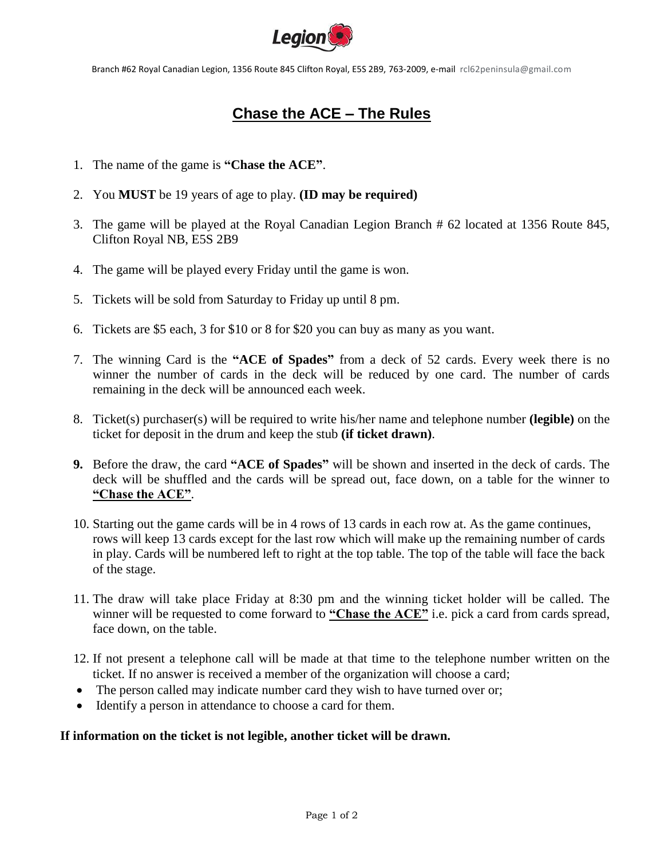

Branch #62 Royal Canadian Legion, 1356 Route 845 Clifton Royal, E5S 2B9, 763-2009, e-mail rcl62peninsula@gmail.com

## **Chase the ACE – The Rules**

- 1. The name of the game is **"Chase the ACE"**.
- 2. You **MUST** be 19 years of age to play. **(ID may be required)**
- 3. The game will be played at the Royal Canadian Legion Branch # 62 located at 1356 Route 845, Clifton Royal NB, E5S 2B9
- 4. The game will be played every Friday until the game is won.
- 5. Tickets will be sold from Saturday to Friday up until 8 pm.
- 6. Tickets are \$5 each, 3 for \$10 or 8 for \$20 you can buy as many as you want.
- 7. The winning Card is the **"ACE of Spades"** from a deck of 52 cards. Every week there is no winner the number of cards in the deck will be reduced by one card. The number of cards remaining in the deck will be announced each week.
- 8. Ticket(s) purchaser(s) will be required to write his/her name and telephone number **(legible)** on the ticket for deposit in the drum and keep the stub **(if ticket drawn)**.
- **9.** Before the draw, the card **"ACE of Spades"** will be shown and inserted in the deck of cards. The deck will be shuffled and the cards will be spread out, face down, on a table for the winner to **"Chase the ACE"**.
- 10. Starting out the game cards will be in 4 rows of 13 cards in each row at. As the game continues, rows will keep 13 cards except for the last row which will make up the remaining number of cards in play. Cards will be numbered left to right at the top table. The top of the table will face the back of the stage.
- 11. The draw will take place Friday at 8:30 pm and the winning ticket holder will be called. The winner will be requested to come forward to **"Chase the ACE"** i.e. pick a card from cards spread, face down, on the table.
- 12. If not present a telephone call will be made at that time to the telephone number written on the ticket. If no answer is received a member of the organization will choose a card;
- The person called may indicate number card they wish to have turned over or;
- Identify a person in attendance to choose a card for them.

## **If information on the ticket is not legible, another ticket will be drawn.**